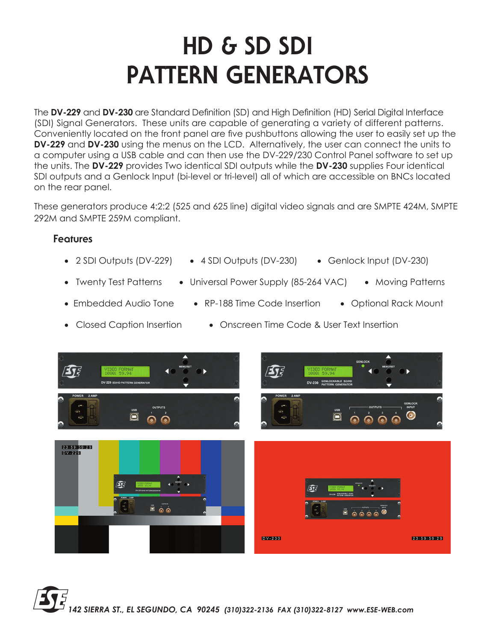## **HD & SD SDI PATTERN GENERATORS**

The **DV-229** and **DV-230** are Standard Definition (SD) and High Definition (HD) Serial Digital Interface (SDI) Signal Generators. These units are capable of generating a variety of different patterns. Conveniently located on the front panel are five pushbuttons allowing the user to easily set up the **DV-229** and **DV-230** using the menus on the LCD. Alternatively, the user can connect the units to a computer using a USB cable and can then use the DV-229/230 Control Panel software to set up the units. The **DV-229** provides Two identical SDI outputs while the **DV-230** supplies Four identical SDI outputs and a Genlock Input (bi-level or tri-level) all of which are accessible on BNCs located on the rear panel.

These generators produce 4:2:2 (525 and 625 line) digital video signals and are SMPTE 424M, SMPTE 292M and SMPTE 259M compliant.

## **Features**

- 2 SDI Outputs (DV-229) 4 SDI Outputs (DV-230) Genlock Input (DV-230)
- Twenty Test Patterns Universal Power Supply (85-264 VAC) Moving Patterns
- 
- Embedded Audio Tone RP-188 Time Code Insertion Optional Rack Mount
	-
- Closed Caption Insertion Onscreen Time Code & User Text Insertion



*142 SIERRA ST., EL SEGUNDO, CA 90245 (310)322-2136 FAX (310)322-8127 www.ESE-WEB.com*